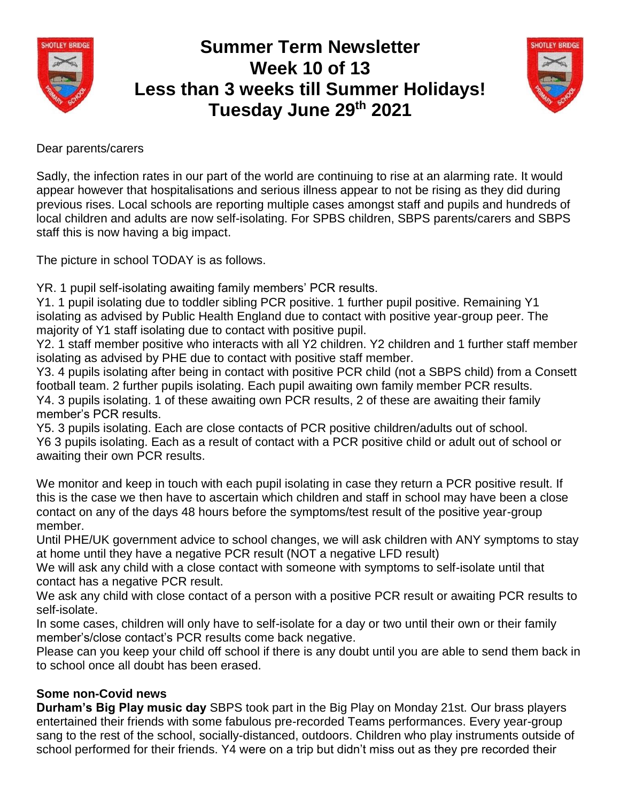

## **Summer Term Newsletter Week 10 of 13 Less than 3 weeks till Summer Holidays! Tuesday June 29th 2021**



## Dear parents/carers

Sadly, the infection rates in our part of the world are continuing to rise at an alarming rate. It would appear however that hospitalisations and serious illness appear to not be rising as they did during previous rises. Local schools are reporting multiple cases amongst staff and pupils and hundreds of local children and adults are now self-isolating. For SPBS children, SBPS parents/carers and SBPS staff this is now having a big impact.

The picture in school TODAY is as follows.

YR. 1 pupil self-isolating awaiting family members' PCR results.

Y1. 1 pupil isolating due to toddler sibling PCR positive. 1 further pupil positive. Remaining Y1 isolating as advised by Public Health England due to contact with positive year-group peer. The majority of Y1 staff isolating due to contact with positive pupil.

Y2. 1 staff member positive who interacts with all Y2 children. Y2 children and 1 further staff member isolating as advised by PHE due to contact with positive staff member.

Y3. 4 pupils isolating after being in contact with positive PCR child (not a SBPS child) from a Consett football team. 2 further pupils isolating. Each pupil awaiting own family member PCR results. Y4. 3 pupils isolating. 1 of these awaiting own PCR results, 2 of these are awaiting their family member's PCR results.

Y5. 3 pupils isolating. Each are close contacts of PCR positive children/adults out of school. Y6 3 pupils isolating. Each as a result of contact with a PCR positive child or adult out of school or awaiting their own PCR results.

We monitor and keep in touch with each pupil isolating in case they return a PCR positive result. If this is the case we then have to ascertain which children and staff in school may have been a close contact on any of the days 48 hours before the symptoms/test result of the positive year-group member.

Until PHE/UK government advice to school changes, we will ask children with ANY symptoms to stay at home until they have a negative PCR result (NOT a negative LFD result)

We will ask any child with a close contact with someone with symptoms to self-isolate until that contact has a negative PCR result.

We ask any child with close contact of a person with a positive PCR result or awaiting PCR results to self-isolate.

In some cases, children will only have to self-isolate for a day or two until their own or their family member's/close contact's PCR results come back negative.

Please can you keep your child off school if there is any doubt until you are able to send them back in to school once all doubt has been erased.

## **Some non-Covid news**

**Durham's Big Play music day** SBPS took part in the Big Play on Monday 21st. Our brass players entertained their friends with some fabulous pre-recorded Teams performances. Every year-group sang to the rest of the school, socially-distanced, outdoors. Children who play instruments outside of school performed for their friends. Y4 were on a trip but didn't miss out as they pre recorded their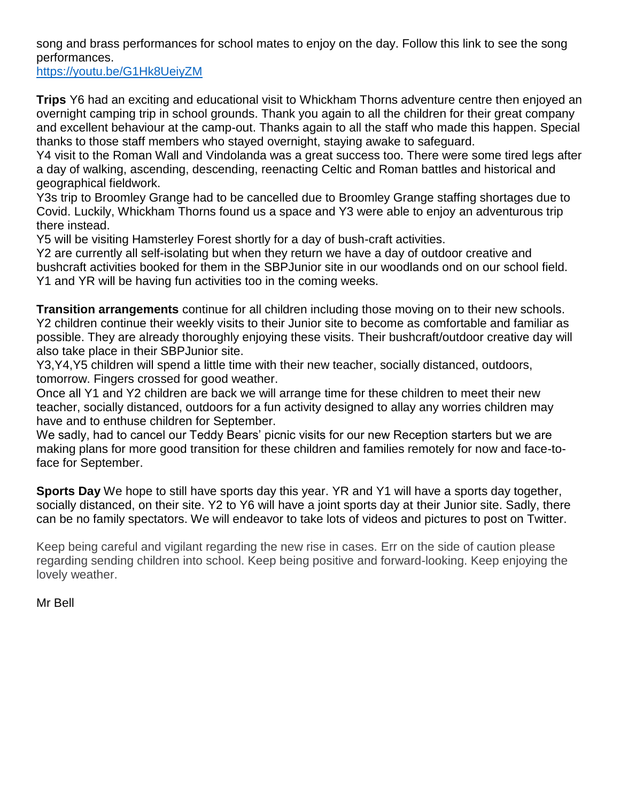song and brass performances for school mates to enjoy on the day. Follow this link to see the song performances.

<https://youtu.be/G1Hk8UeiyZM>

**Trips** Y6 had an exciting and educational visit to Whickham Thorns adventure centre then enjoyed an overnight camping trip in school grounds. Thank you again to all the children for their great company and excellent behaviour at the camp-out. Thanks again to all the staff who made this happen. Special thanks to those staff members who stayed overnight, staying awake to safeguard.

Y4 visit to the Roman Wall and Vindolanda was a great success too. There were some tired legs after a day of walking, ascending, descending, reenacting Celtic and Roman battles and historical and geographical fieldwork.

Y3s trip to Broomley Grange had to be cancelled due to Broomley Grange staffing shortages due to Covid. Luckily, Whickham Thorns found us a space and Y3 were able to enjoy an adventurous trip there instead.

Y5 will be visiting Hamsterley Forest shortly for a day of bush-craft activities.

Y2 are currently all self-isolating but when they return we have a day of outdoor creative and bushcraft activities booked for them in the SBPJunior site in our woodlands ond on our school field. Y1 and YR will be having fun activities too in the coming weeks.

**Transition arrangements** continue for all children including those moving on to their new schools. Y2 children continue their weekly visits to their Junior site to become as comfortable and familiar as possible. They are already thoroughly enjoying these visits. Their bushcraft/outdoor creative day will also take place in their SBPJunior site.

Y3,Y4,Y5 children will spend a little time with their new teacher, socially distanced, outdoors, tomorrow. Fingers crossed for good weather.

Once all Y1 and Y2 children are back we will arrange time for these children to meet their new teacher, socially distanced, outdoors for a fun activity designed to allay any worries children may have and to enthuse children for September.

We sadly, had to cancel our Teddy Bears' picnic visits for our new Reception starters but we are making plans for more good transition for these children and families remotely for now and face-toface for September.

**Sports Day** We hope to still have sports day this year. YR and Y1 will have a sports day together, socially distanced, on their site. Y2 to Y6 will have a joint sports day at their Junior site. Sadly, there can be no family spectators. We will endeavor to take lots of videos and pictures to post on Twitter.

Keep being careful and vigilant regarding the new rise in cases. Err on the side of caution please regarding sending children into school. Keep being positive and forward-looking. Keep enjoying the lovely weather.

Mr Bell